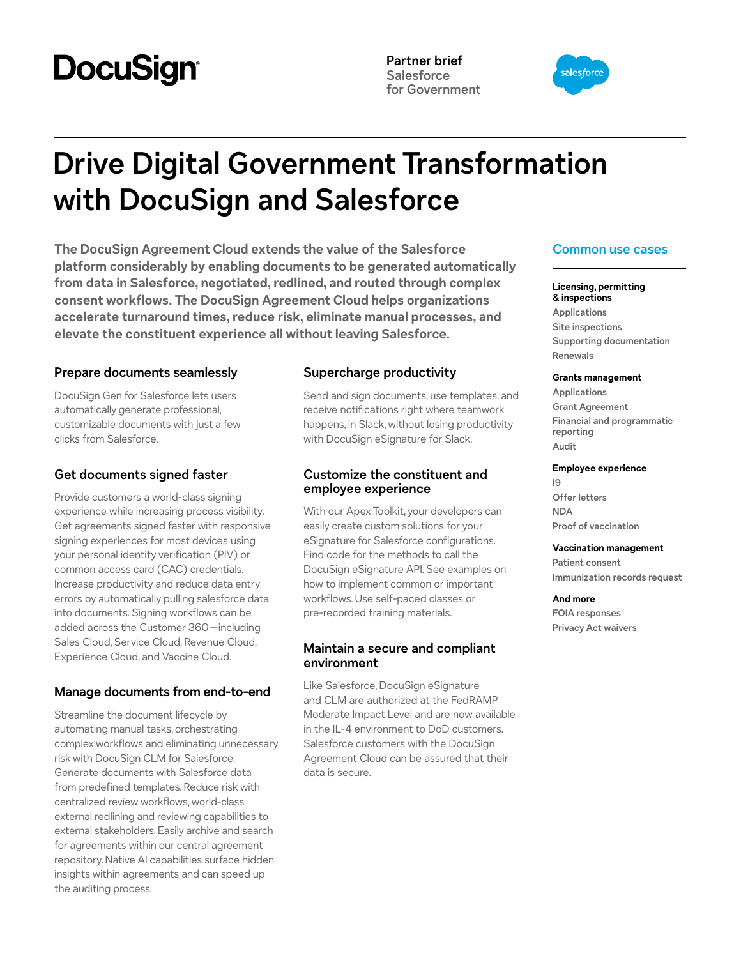# **DocuSign®**

**Partner brief Salesforce for Government**



# **Drive Digital Government Transformation with DocuSign and Salesforce**

**The DocuSign Agreement Cloud extends the value of the Salesforce platform considerably by enabling documents to be generated automatically from data in Salesforce, negotiated, redlined, and routed through complex consent workflows. The DocuSign Agreement Cloud helps organizations accelerate turnaround times, reduce risk, eliminate manual processes, and elevate the constituent experience all without leaving Salesforce.**

# **Prepare documents seamlessly**

DocuSign Gen for Salesforce lets users automatically generate professional, customizable documents with just a few clicks from Salesforce.

## **Get documents signed faster**

Provide customers a world-class signing experience while increasing process visibility. Get agreements signed faster with responsive signing experiences for most devices using your personal identity verification (PIV) or common access card (CAC) credentials. Increase productivity and reduce data entry errors by automatically pulling salesforce data into documents. Signing workflows can be added across the Customer 360—including Sales Cloud, Service Cloud, Revenue Cloud, Experience Cloud, and Vaccine Cloud.

# **Manage documents from end-to-end**

Streamline the document lifecycle by automating manual tasks, orchestrating complex workflows and eliminating unnecessary risk with DocuSign CLM for Salesforce. Generate documents with Salesforce data from predefined templates. Reduce risk with centralized review workflows, world-class external redlining and reviewing capabilities to external stakeholders. Easily archive and search for agreements within our central agreement repository. Native AI capabilities surface hidden insights within agreements and can speed up the auditing process.

# **Supercharge productivity**

Send and sign documents, use templates, and receive notifications right where teamwork happens, in Slack, without losing productivity with DocuSign eSignature for Slack.

## **Customize the constituent and employee experience**

With our Apex Toolkit, your developers can easily create custom solutions for your eSignature for Salesforce configurations. Find code for the methods to call the DocuSign eSignature API. See examples on how to implement common or important workflows. Use self-paced classes or pre-recorded training materials.

# **Maintain a secure and compliant environment**

Like Salesforce, DocuSign eSignature and CLM are authorized at the FedRAMP Moderate Impact Level and are now available in the IL-4 environment to DoD customers. Salesforce customers with the DocuSign Agreement Cloud can be assured that their data is secure.

# **Common use cases**

#### **Licensing, permitting & inspections**

**Applications Site inspections Supporting documentation Renewals**

#### **Grants management**

**Applications Grant Agreement Financial and programmatic reporting Audit**

#### **Employee experience**

**I9 Offer letters NDA Proof of vaccination**

#### **Vaccination management**

**Patient consent Immunization records request**

### **And more**

**FOIA responses Privacy Act waivers**